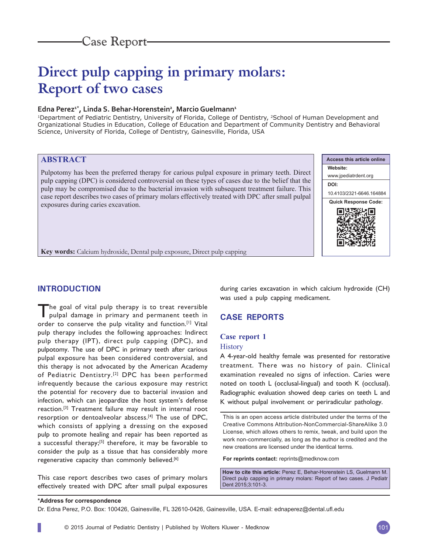# **Direct pulp capping in primary molars: Report of two cases**

# Edna Perez<sup>1\*</sup>, Linda S. Behar-Horenstein<sup>2</sup>, Marcio Guelmann<sup>1</sup>

<sup>1</sup>Department of Pediatric Dentistry, University of Florida, College of Dentistry, <sup>2</sup>School of Human Development and Organizational Studies in Education, College of Education and Department of Community Dentistry and Behavioral Science, University of Florida, College of Dentistry, Gainesville, Florida, USA

# **ABSTRACT**

Pulpotomy has been the preferred therapy for carious pulpal exposure in primary teeth. Direct pulp capping (DPC) is considered controversial on these types of cases due to the belief that the pulp may be compromised due to the bacterial invasion with subsequent treatment failure. This case report describes two cases of primary molars effectively treated with DPC after small pulpal exposures during caries excavation.



**Key words:** Calcium hydroxide, Dental pulp exposure, Direct pulp capping

# **INTRODUCTION**

The goal of vital pulp therapy is to treat reversible pulpal damage in primary and permanent teeth in order to conserve the pulp vitality and function.<sup>[1]</sup> Vital pulp therapy includes the following approaches: Indirect pulp therapy (IPT), direct pulp capping (DPC), and pulpotomy. The use of DPC in primary teeth after carious pulpal exposure has been considered controversial, and this therapy is not advocated by the American Academy of Pediatric Dentistry.[2] DPC has been performed infrequently because the carious exposure may restrict the potential for recovery due to bacterial invasion and infection, which can jeopardize the host system's defense reaction.[3] Treatment failure may result in internal root resorption or dentoalveolar abscess.[4] The use of DPC, which consists of applying a dressing on the exposed pulp to promote healing and repair has been reported as a successful therapy;<sup>[5]</sup> therefore, it may be favorable to consider the pulp as a tissue that has considerably more regenerative capacity than commonly believed.<sup>[6]</sup>

This case report describes two cases of primary molars effectively treated with DPC after small pulpal exposures during caries excavation in which calcium hydroxide (CH) was used a pulp capping medicament.

# **CASE REPORTS**

## **Case report 1**

## **History**

A 4-year-old healthy female was presented for restorative treatment. There was no history of pain. Clinical examination revealed no signs of infection. Caries were noted on tooth L (occlusal-lingual) and tooth K (occlusal). Radiographic evaluation showed deep caries on teeth L and K without pulpal involvement or periradicular pathology.

This is an open access article distributed under the terms of the Creative Commons Attribution-NonCommercial-ShareAlike 3.0 License, which allows others to remix, tweak, and build upon the work non-commercially, as long as the author is credited and the new creations are licensed under the identical terms.

**For reprints contact:** reprints@medknow.com

**How to cite this article:** Perez E, Behar-Horenstein LS, Guelmann M. Direct pulp capping in primary molars: Report of two cases. J Pediatr Dent 2015;3:101-3.

#### **\*Address for correspondence**

Dr. Edna Perez, P.O. Box: 100426, Gainesville, FL 32610-0426, Gainesville, USA. E-mail: ednaperez@dental.ufl.edu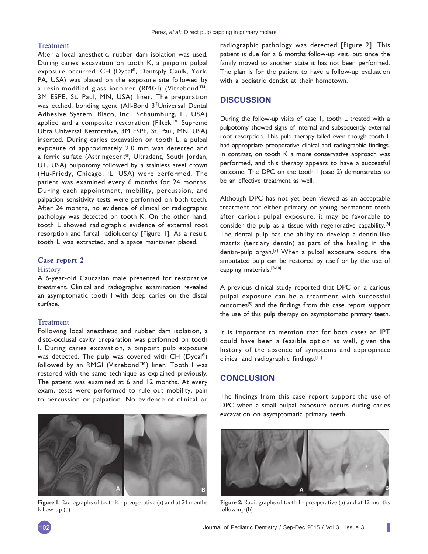### Treatment

After a local anesthetic, rubber dam isolation was used. During caries excavation on tooth K, a pinpoint pulpal exposure occurred. CH (Dycal®, Dentsply Caulk, York, PA, USA) was placed on the exposure site followed by a resin-modified glass ionomer (RMGI) (Vitrebond™, 3M ESPE, St. Paul, MN, USA) liner. The preparation was etched, bonding agent (All-Bond 3®Universal Dental Adhesive System, Bisco, Inc., Schaumburg, IL, USA) applied and a composite restoration (Filtek™ Supreme Ultra Universal Restorative, 3M ESPE, St. Paul, MN, USA) inserted. During caries excavation on tooth L, a pulpal exposure of approximately 2.0 mm was detected and a ferric sulfate (Astringedent®, Ultradent, South Jordan, UT, USA) pulpotomy followed by a stainless steel crown (Hu-Friedy, Chicago, IL, USA) were performed. The patient was examined every 6 months for 24 months. During each appointment, mobility, percussion, and palpation sensitivity tests were performed on both teeth. After 24 months, no evidence of clinical or radiographic pathology was detected on tooth K. On the other hand, tooth L showed radiographic evidence of external root resorption and furcal radiolucency [Figure 1]. As a result, tooth L was extracted, and a space maintainer placed.

#### **Case report 2**

#### **History**

A 6-year-old Caucasian male presented for restorative treatment. Clinical and radiographic examination revealed an asymptomatic tooth I with deep caries on the distal surface.

## Treatment

Following local anesthetic and rubber dam isolation, a disto-occlusal cavity preparation was performed on tooth I. During caries excavation, a pinpoint pulp exposure was detected. The pulp was covered with CH (Dycal®) followed by an RMGI (Vitrebond™) liner. Tooth I was restored with the same technique as explained previously. The patient was examined at 6 and 12 months. At every exam, tests were performed to rule out mobility, pain to percussion or palpation. No evidence of clinical or



**Figure 1:** Radiographs of tooth K - preoperative (a) and at 24 months follow-up (b)

radiographic pathology was detected [Figure 2]. This patient is due for a 6 months follow-up visit, but since the family moved to another state it has not been performed. The plan is for the patient to have a follow-up evaluation with a pediatric dentist at their hometown.

## **DISCUSSION**

During the follow-up visits of case 1, tooth L treated with a pulpotomy showed signs of internal and subsequently external root resorption. This pulp therapy failed even though tooth L had appropriate preoperative clinical and radiographic findings. In contrast, on tooth K a more conservative approach was performed, and this therapy appears to have a successful outcome. The DPC on the tooth I (case 2) demonstrates to be an effective treatment as well.

Although DPC has not yet been viewed as an acceptable treatment for either primary or young permanent teeth after carious pulpal exposure, it may be favorable to consider the pulp as a tissue with regenerative capability.<sup>[6]</sup> The dental pulp has the ability to develop a dentin-like matrix (tertiary dentin) as part of the healing in the dentin-pulp organ.[7] When a pulpal exposure occurs, the amputated pulp can be restored by itself or by the use of capping materials.[8-10]

A previous clinical study reported that DPC on a carious pulpal exposure can be a treatment with successful outcomes<sup>[5]</sup> and the findings from this case report support the use of this pulp therapy on asymptomatic primary teeth.

It is important to mention that for both cases an IPT could have been a feasible option as well, given the history of the absence of symptoms and appropriate clinical and radiographic findings. $[11]$ 

# **CONCLUSION**

The findings from this case report support the use of DPC when a small pulpal exposure occurs during caries excavation on asymptomatic primary teeth.



**Figure 2:** Radiographs of tooth I - preoperative (a) and at 12 months follow-up (b)